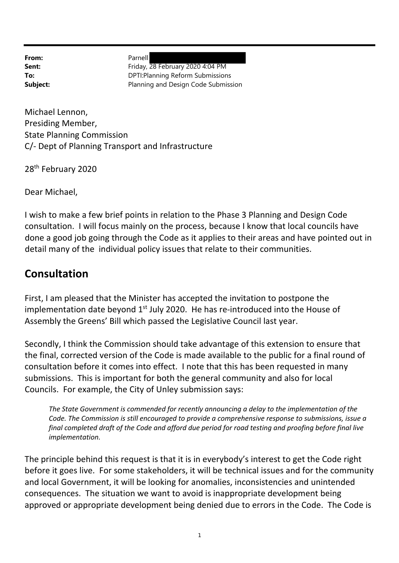From: Parnell

**Sent:** Friday, 28 February 2020 4:04 PM **To:** DPTI:Planning Reform Submissions **Subject:** Planning and Design Code Submission

Michael Lennon, Presiding Member, State Planning Commission C/‐ Dept of Planning Transport and Infrastructure

28<sup>th</sup> February 2020

Dear Michael,

I wish to make a few brief points in relation to the Phase 3 Planning and Design Code consultation. I will focus mainly on the process, because I know that local councils have done a good job going through the Code as it applies to their areas and have pointed out in detail many of the individual policy issues that relate to their communities.

#### **Consultation**

First, I am pleased that the Minister has accepted the invitation to postpone the implementation date beyond  $1<sup>st</sup>$  July 2020. He has re-introduced into the House of Assembly the Greens' Bill which passed the Legislative Council last year.

Secondly, I think the Commission should take advantage of this extension to ensure that the final, corrected version of the Code is made available to the public for a final round of consultation before it comes into effect. I note that this has been requested in many submissions. This is important for both the general community and also for local Councils. For example, the City of Unley submission says:

*The State Government is commended for recently announcing a delay to the implementation of the Code. The Commission is still encouraged to provide a comprehensive response to submissions, issue a* final completed draft of the Code and afford due period for road testing and proofing before final live *implementation.*

The principle behind this request is that it is in everybody's interest to get the Code right before it goes live. For some stakeholders, it will be technical issues and for the community and local Government, it will be looking for anomalies, inconsistencies and unintended consequences. The situation we want to avoid is inappropriate development being approved or appropriate development being denied due to errors in the Code. The Code is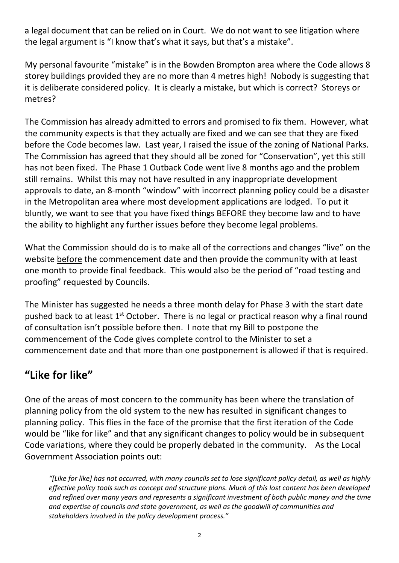a legal document that can be relied on in Court. We do not want to see litigation where the legal argument is "I know that's what it says, but that's a mistake".

My personal favourite "mistake" is in the Bowden Brompton area where the Code allows 8 storey buildings provided they are no more than 4 metres high! Nobody is suggesting that it is deliberate considered policy. It is clearly a mistake, but which is correct? Storeys or metres?

The Commission has already admitted to errors and promised to fix them. However, what the community expects is that they actually are fixed and we can see that they are fixed before the Code becomes law. Last year, I raised the issue of the zoning of National Parks. The Commission has agreed that they should all be zoned for "Conservation", yet this still has not been fixed. The Phase 1 Outback Code went live 8 months ago and the problem still remains. Whilst this may not have resulted in any inappropriate development approvals to date, an 8‐month "window" with incorrect planning policy could be a disaster in the Metropolitan area where most development applications are lodged. To put it bluntly, we want to see that you have fixed things BEFORE they become law and to have the ability to highlight any further issues before they become legal problems.

What the Commission should do is to make all of the corrections and changes "live" on the website before the commencement date and then provide the community with at least one month to provide final feedback. This would also be the period of "road testing and proofing" requested by Councils.

The Minister has suggested he needs a three month delay for Phase 3 with the start date pushed back to at least  $1<sup>st</sup>$  October. There is no legal or practical reason why a final round of consultation isn't possible before then. I note that my Bill to postpone the commencement of the Code gives complete control to the Minister to set a commencement date and that more than one postponement is allowed if that is required.

# **"Like for like"**

One of the areas of most concern to the community has been where the translation of planning policy from the old system to the new has resulted in significant changes to planning policy. This flies in the face of the promise that the first iteration of the Code would be "like for like" and that any significant changes to policy would be in subsequent Code variations, where they could be properly debated in the community. As the Local Government Association points out:

"[Like for like] has not occurred, with many councils set to lose significant policy detail, as well as highly *effective policy tools such as concept and structure plans. Much of this lost content has been developed and refined over many years and represents a significant investment of both public money and the time and expertise of councils and state government, as well as the goodwill of communities and stakeholders involved in the policy development process."*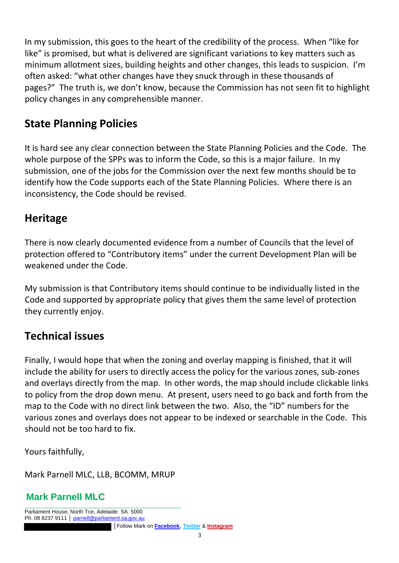In my submission, this goes to the heart of the credibility of the process. When "like for like" is promised, but what is delivered are significant variations to key matters such as minimum allotment sizes, building heights and other changes, this leads to suspicion. I'm often asked: "what other changes have they snuck through in these thousands of pages?" The truth is, we don't know, because the Commission has not seen fit to highlight policy changes in any comprehensible manner.

# **State Planning Policies**

It is hard see any clear connection between the State Planning Policies and the Code. The whole purpose of the SPPs was to inform the Code, so this is a major failure. In my submission, one of the jobs for the Commission over the next few months should be to identify how the Code supports each of the State Planning Policies. Where there is an inconsistency, the Code should be revised.

### **Heritage**

There is now clearly documented evidence from a number of Councils that the level of protection offered to "Contributory items" under the current Development Plan will be weakened under the Code.

My submission is that Contributory items should continue to be individually listed in the Code and supported by appropriate policy that gives them the same level of protection they currently enjoy.

### **Technical issues**

Finally, I would hope that when the zoning and overlay mapping is finished, that it will include the ability for users to directly access the policy for the various zones, sub‐zones and overlays directly from the map. In other words, the map should include clickable links to policy from the drop down menu. At present, users need to go back and forth from the map to the Code with no direct link between the two. Also, the "ID" numbers for the various zones and overlays does not appear to be indexed or searchable in the Code. This should not be too hard to fix.

Yours faithfully,

Mark Parnell MLC, LLB, BCOMM, MRUP

#### **Mark Parnell MLC**

\_\_\_\_\_\_\_\_\_\_\_\_\_\_\_\_\_\_\_\_\_\_\_\_\_\_\_\_\_\_\_\_\_\_\_\_\_\_\_\_\_\_\_\_\_\_\_\_\_\_\_\_\_\_\_\_\_\_\_\_\_\_\_\_ Parliament House, North Tce, Adelaide SA 5000 Ph. 08 8237 9111 │ parnell@parliament.sa.gov.au │Follow Mark on **Facebook**, **Twitter** & **Instagram**